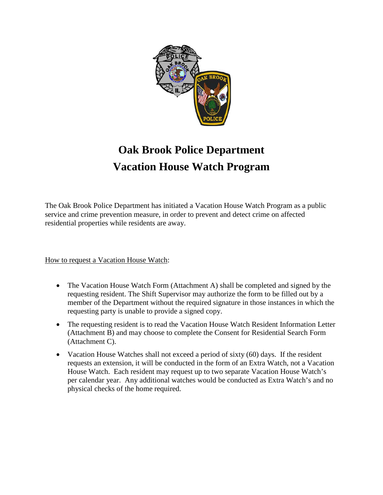

## **Oak Brook Police Department Vacation House Watch Program**

The Oak Brook Police Department has initiated a Vacation House Watch Program as a public service and crime prevention measure, in order to prevent and detect crime on affected residential properties while residents are away.

How to request a Vacation House Watch:

- The Vacation House Watch Form (Attachment A) shall be completed and signed by the requesting resident. The Shift Supervisor may authorize the form to be filled out by a member of the Department without the required signature in those instances in which the requesting party is unable to provide a signed copy.
- The requesting resident is to read the Vacation House Watch Resident Information Letter (Attachment B) and may choose to complete the Consent for Residential Search Form (Attachment C).
- Vacation House Watches shall not exceed a period of sixty  $(60)$  days. If the resident requests an extension, it will be conducted in the form of an Extra Watch, not a Vacation House Watch. Each resident may request up to two separate Vacation House Watch's per calendar year. Any additional watches would be conducted as Extra Watch's and no physical checks of the home required.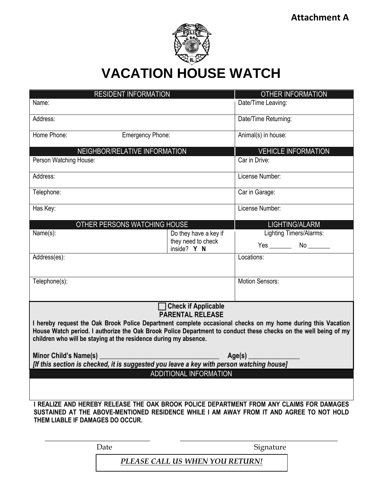

**VACATION HOUSE WATCH**

| <b>RESIDENT INFORMATION</b>                                                                                                                                                                                                                               |                                   | <b>OTHER INFORMATION</b>   |  |  |
|-----------------------------------------------------------------------------------------------------------------------------------------------------------------------------------------------------------------------------------------------------------|-----------------------------------|----------------------------|--|--|
| Name:                                                                                                                                                                                                                                                     |                                   | Date/Time Leaving:         |  |  |
| Address:                                                                                                                                                                                                                                                  |                                   | Date/Time Returning:       |  |  |
| Home Phone:<br>Emergency Phone:                                                                                                                                                                                                                           |                                   | Animal(s) in house:        |  |  |
| NEIGHBOR/RELATIVE INFORMATION                                                                                                                                                                                                                             |                                   | <b>VEHICLE INFORMATION</b> |  |  |
| Person Watching House:                                                                                                                                                                                                                                    |                                   | Car in Drive:              |  |  |
| Address:                                                                                                                                                                                                                                                  |                                   | License Number:            |  |  |
| Telephone:                                                                                                                                                                                                                                                |                                   | Car in Garage:             |  |  |
| Has Key:                                                                                                                                                                                                                                                  |                                   | License Number:            |  |  |
| OTHER PERSONS WATCHING HOUSE                                                                                                                                                                                                                              |                                   | LIGHTING/ALARM             |  |  |
| Name(s):                                                                                                                                                                                                                                                  | Do they have a key if             | Lighting Timers/Alarms:    |  |  |
|                                                                                                                                                                                                                                                           | they need to check<br>inside? Y N |                            |  |  |
| Address(es):                                                                                                                                                                                                                                              |                                   | Locations:                 |  |  |
|                                                                                                                                                                                                                                                           |                                   |                            |  |  |
| Telephone(s):                                                                                                                                                                                                                                             |                                   | Motion Sensors:            |  |  |
|                                                                                                                                                                                                                                                           |                                   |                            |  |  |
| <b>Check if Applicable</b>                                                                                                                                                                                                                                |                                   |                            |  |  |
| <b>PARENTAL RELEASE</b><br>I hereby request the Oak Brook Police Department complete occasional checks on my home during this Vacation<br>House Watch period. I authorize the Oak Brook Police Department to conduct these checks on the well being of my |                                   |                            |  |  |
| children who will be staying at the residence during my absence.                                                                                                                                                                                          |                                   |                            |  |  |
| Minor Child's Name(s) _<br>Age(s) $\_$                                                                                                                                                                                                                    |                                   |                            |  |  |
| [If this section is checked, it is suggested you leave a key with person watching house]                                                                                                                                                                  |                                   |                            |  |  |
| ADDITIONAL INFORMATION                                                                                                                                                                                                                                    |                                   |                            |  |  |
|                                                                                                                                                                                                                                                           |                                   |                            |  |  |
|                                                                                                                                                                                                                                                           |                                   |                            |  |  |
| I REALIZE AND HEREBY RELEASE THE OAK BROOK POLICE DEPARTMENT FROM ANY CLAIMS FOR DAMAGES<br>SUSTAINED AT THE ABOVE-MENTIONED RESIDENCE WHILE I AM AWAY FROM IT AND AGREE TO NOT HOLD                                                                      |                                   |                            |  |  |
| THEM LIABLE IF DAMAGES DO OCCUR.                                                                                                                                                                                                                          |                                   |                            |  |  |
|                                                                                                                                                                                                                                                           |                                   |                            |  |  |
| Date                                                                                                                                                                                                                                                      |                                   |                            |  |  |
|                                                                                                                                                                                                                                                           |                                   | Signature                  |  |  |
| PLEASE CALL US WHEN YOU RETURN!                                                                                                                                                                                                                           |                                   |                            |  |  |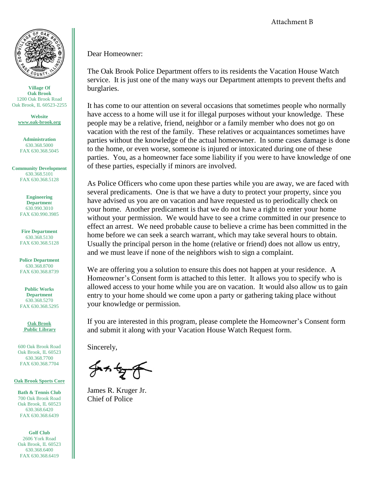

**Village Of Oak Brook** 1200 Oak Brook Road Oak Brook, IL 60523-2255

> **Website [www.oak-brook.org](http://www.oak-brook.org/)**

**Administration** 630.368.5000 FAX 630.368.5045

**Community Development** 630.368.5101 FAX 630.368.5128

> **Engineering Departmen**t 630.990.3010 FAX 630.990.3985

**Fire Department** 630.368.5130 FAX 630.368.5128

**Police Department** 630.368.8700 FAX 630.368.8739

**Public Works Department** 630.368.5270 FAX 630.368.5295

**Oak Brook Public Library**

600 Oak Brook Road Oak Brook, IL 60523 630.368.7700 FAX 630.368.7704

**Oak Brook Sports Core**

**Bath & Tennis Club** 700 Oak Brook Road Oak Brook, IL 60523 630.368.6420 FAX 630.368.6439

**Golf Club** 2606 York Road Oak Brook, IL 60523 630.368.6400 FAX 630.368.6419

Attachment B

Dear Homeowner:

The Oak Brook Police Department offers to its residents the Vacation House Watch service. It is just one of the many ways our Department attempts to prevent thefts and burglaries.

It has come to our attention on several occasions that sometimes people who normally have access to a home will use it for illegal purposes without your knowledge. These people may be a relative, friend, neighbor or a family member who does not go on vacation with the rest of the family. These relatives or acquaintances sometimes have parties without the knowledge of the actual homeowner. In some cases damage is done to the home, or even worse, someone is injured or intoxicated during one of these parties. You, as a homeowner face some liability if you were to have knowledge of one of these parties, especially if minors are involved.

As Police Officers who come upon these parties while you are away, we are faced with several predicaments. One is that we have a duty to protect your property, since you have advised us you are on vacation and have requested us to periodically check on your home. Another predicament is that we do not have a right to enter your home without your permission. We would have to see a crime committed in our presence to effect an arrest. We need probable cause to believe a crime has been committed in the home before we can seek a search warrant, which may take several hours to obtain. Usually the principal person in the home (relative or friend) does not allow us entry, and we must leave if none of the neighbors wish to sign a complaint.

We are offering you a solution to ensure this does not happen at your residence. A Homeowner's Consent form is attached to this letter. It allows you to specify who is allowed access to your home while you are on vacation. It would also allow us to gain entry to your home should we come upon a party or gathering taking place without your knowledge or permission.

If you are interested in this program, please complete the Homeowner's Consent form and submit it along with your Vacation House Watch Request form.

Sincerely,

 $41578$ 

James R. Kruger Jr. Chief of Police